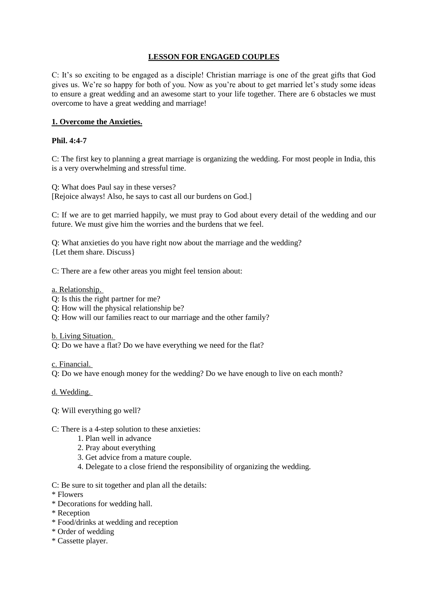# **LESSON FOR ENGAGED COUPLES**

C: It's so exciting to be engaged as a disciple! Christian marriage is one of the great gifts that God gives us. We're so happy for both of you. Now as you're about to get married let's study some ideas to ensure a great wedding and an awesome start to your life together. There are 6 obstacles we must overcome to have a great wedding and marriage!

# **1. Overcome the Anxieties.**

# **Phil. 4:4-7**

C: The first key to planning a great marriage is organizing the wedding. For most people in India, this is a very overwhelming and stressful time.

Q: What does Paul say in these verses? [Rejoice always! Also, he says to cast all our burdens on God.]

C: If we are to get married happily, we must pray to God about every detail of the wedding and our future. We must give him the worries and the burdens that we feel.

Q: What anxieties do you have right now about the marriage and the wedding? {Let them share. Discuss}

C: There are a few other areas you might feel tension about:

a. Relationship.

Q: Is this the right partner for me?

Q: How will the physical relationship be?

Q: How will our families react to our marriage and the other family?

b. Living Situation.

Q: Do we have a flat? Do we have everything we need for the flat?

c. Financial.

Q: Do we have enough money for the wedding? Do we have enough to live on each month?

d. Wedding.

Q: Will everything go well?

- C: There is a 4-step solution to these anxieties:
	- 1. Plan well in advance
	- 2. Pray about everything
	- 3. Get advice from a mature couple.
	- 4. Delegate to a close friend the responsibility of organizing the wedding.
- C: Be sure to sit together and plan all the details:
- \* Flowers
- \* Decorations for wedding hall.
- \* Reception
- \* Food/drinks at wedding and reception
- \* Order of wedding
- \* Cassette player.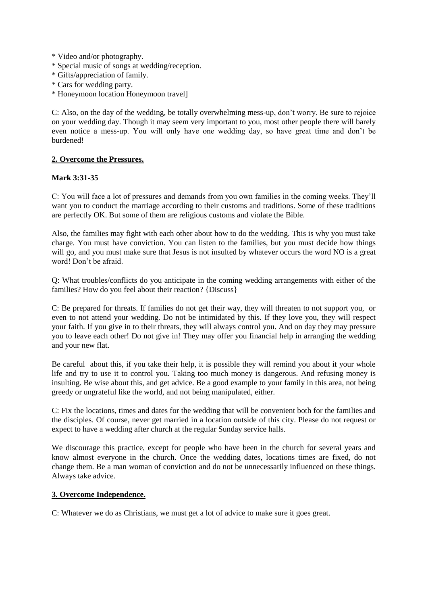- \* Video and/or photography.
- \* Special music of songs at wedding/reception.
- \* Gifts/appreciation of family.
- \* Cars for wedding party.
- \* Honeymoon location Honeymoon travel]

C: Also, on the day of the wedding, be totally overwhelming mess-up, don't worry. Be sure to rejoice on your wedding day. Though it may seem very important to you, most other people there will barely even notice a mess-up. You will only have one wedding day, so have great time and don't be burdened!

#### **2. Overcome the Pressures.**

#### **Mark 3:31-35**

C: You will face a lot of pressures and demands from you own families in the coming weeks. They'll want you to conduct the marriage according to their customs and traditions. Some of these traditions are perfectly OK. But some of them are religious customs and violate the Bible.

Also, the families may fight with each other about how to do the wedding. This is why you must take charge. You must have conviction. You can listen to the families, but you must decide how things will go, and you must make sure that Jesus is not insulted by whatever occurs the word NO is a great word! Don't be afraid.

Q: What troubles/conflicts do you anticipate in the coming wedding arrangements with either of the families? How do you feel about their reaction? {Discuss}

C: Be prepared for threats. If families do not get their way, they will threaten to not support you, or even to not attend your wedding. Do not be intimidated by this. If they love you, they will respect your faith. If you give in to their threats, they will always control you. And on day they may pressure you to leave each other! Do not give in! They may offer you financial help in arranging the wedding and your new flat.

Be careful about this, if you take their help, it is possible they will remind you about it your whole life and try to use it to control you. Taking too much money is dangerous. And refusing money is insulting. Be wise about this, and get advice. Be a good example to your family in this area, not being greedy or ungrateful like the world, and not being manipulated, either.

C: Fix the locations, times and dates for the wedding that will be convenient both for the families and the disciples. Of course, never get married in a location outside of this city. Please do not request or expect to have a wedding after church at the regular Sunday service halls.

We discourage this practice, except for people who have been in the church for several years and know almost everyone in the church. Once the wedding dates, locations times are fixed, do not change them. Be a man woman of conviction and do not be unnecessarily influenced on these things. Always take advice.

#### **3. Overcome Independence.**

C: Whatever we do as Christians, we must get a lot of advice to make sure it goes great.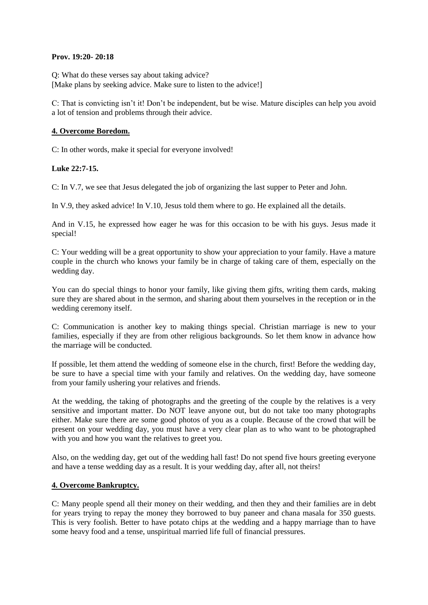#### **Prov. 19:20- 20:18**

Q: What do these verses say about taking advice? [Make plans by seeking advice. Make sure to listen to the advice!]

C: That is convicting isn't it! Don't be independent, but be wise. Mature disciples can help you avoid a lot of tension and problems through their advice.

#### **4. Overcome Boredom.**

C: In other words, make it special for everyone involved!

#### **Luke 22:7-15.**

C: In V.7, we see that Jesus delegated the job of organizing the last supper to Peter and John.

In V.9, they asked advice! In V.10, Jesus told them where to go. He explained all the details.

And in V.15, he expressed how eager he was for this occasion to be with his guys. Jesus made it special!

C: Your wedding will be a great opportunity to show your appreciation to your family. Have a mature couple in the church who knows your family be in charge of taking care of them, especially on the wedding day.

You can do special things to honor your family, like giving them gifts, writing them cards, making sure they are shared about in the sermon, and sharing about them yourselves in the reception or in the wedding ceremony itself.

C: Communication is another key to making things special. Christian marriage is new to your families, especially if they are from other religious backgrounds. So let them know in advance how the marriage will be conducted.

If possible, let them attend the wedding of someone else in the church, first! Before the wedding day, be sure to have a special time with your family and relatives. On the wedding day, have someone from your family ushering your relatives and friends.

At the wedding, the taking of photographs and the greeting of the couple by the relatives is a very sensitive and important matter. Do NOT leave anyone out, but do not take too many photographs either. Make sure there are some good photos of you as a couple. Because of the crowd that will be present on your wedding day, you must have a very clear plan as to who want to be photographed with you and how you want the relatives to greet you.

Also, on the wedding day, get out of the wedding hall fast! Do not spend five hours greeting everyone and have a tense wedding day as a result. It is your wedding day, after all, not theirs!

#### **4. Overcome Bankruptcy.**

C: Many people spend all their money on their wedding, and then they and their families are in debt for years trying to repay the money they borrowed to buy paneer and chana masala for 350 guests. This is very foolish. Better to have potato chips at the wedding and a happy marriage than to have some heavy food and a tense, unspiritual married life full of financial pressures.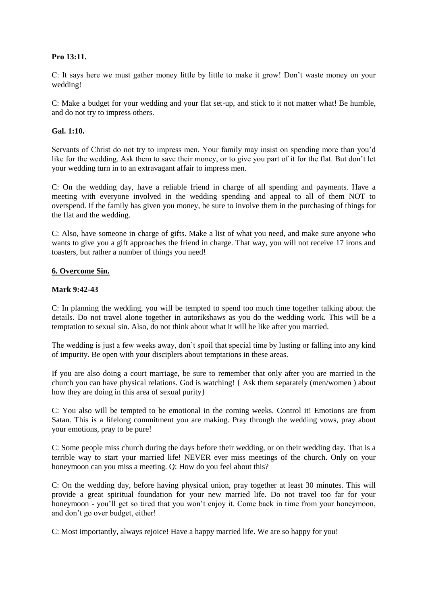## **Pro 13:11.**

C: It says here we must gather money little by little to make it grow! Don't waste money on your wedding!

C: Make a budget for your wedding and your flat set-up, and stick to it not matter what! Be humble, and do not try to impress others.

#### **Gal. 1:10.**

Servants of Christ do not try to impress men. Your family may insist on spending more than you'd like for the wedding. Ask them to save their money, or to give you part of it for the flat. But don't let your wedding turn in to an extravagant affair to impress men.

C: On the wedding day, have a reliable friend in charge of all spending and payments. Have a meeting with everyone involved in the wedding spending and appeal to all of them NOT to overspend. If the family has given you money, be sure to involve them in the purchasing of things for the flat and the wedding.

C: Also, have someone in charge of gifts. Make a list of what you need, and make sure anyone who wants to give you a gift approaches the friend in charge. That way, you will not receive 17 irons and toasters, but rather a number of things you need!

### **6. Overcome Sin.**

### **Mark 9:42-43**

C: In planning the wedding, you will be tempted to spend too much time together talking about the details. Do not travel alone together in autorikshaws as you do the wedding work. This will be a temptation to sexual sin. Also, do not think about what it will be like after you married.

The wedding is just a few weeks away, don't spoil that special time by lusting or falling into any kind of impurity. Be open with your disciplers about temptations in these areas.

If you are also doing a court marriage, be sure to remember that only after you are married in the church you can have physical relations. God is watching! { Ask them separately (men/women ) about how they are doing in this area of sexual purity}

C: You also will be tempted to be emotional in the coming weeks. Control it! Emotions are from Satan. This is a lifelong commitment you are making. Pray through the wedding vows, pray about your emotions, pray to be pure!

C: Some people miss church during the days before their wedding, or on their wedding day. That is a terrible way to start your married life! NEVER ever miss meetings of the church. Only on your honeymoon can you miss a meeting. Q: How do you feel about this?

C: On the wedding day, before having physical union, pray together at least 30 minutes. This will provide a great spiritual foundation for your new married life. Do not travel too far for your honeymoon - you'll get so tired that you won't enjoy it. Come back in time from your honeymoon, and don't go over budget, either!

C: Most importantly, always rejoice! Have a happy married life. We are so happy for you!